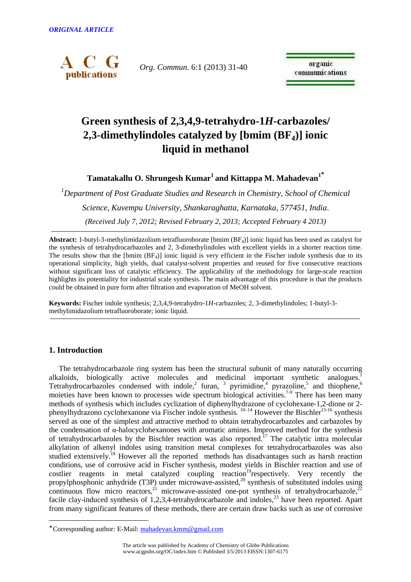

*Org. Commun*. 6:1 (2013) 31-40

organic **communications** 

# **Green synthesis of 2,3,4,9-tetrahydro-1***H***-carbazoles/ 2,3-dimethylindoles catalyzed by [bmim (BF4)] ionic liquid in methanol**

**Tamatakallu O. Shrungesh Kumar<sup>1</sup>and Kittappa M. Mahadevan<sup>1</sup>\***

*<sup>1</sup>Department of Post Graduate Studies and Research in Chemistry, School of Chemical Science, Kuvempu University, Shankaraghatta, Karnataka, 577451, India*. *(Received July 7, 2012; Revised February 2, 2013; Accepted February 4 2013)*

**Abstract:** 1-butyl-3-methylimidazolium tetrafluoroborate [bmim (BF4)] ionic liquid has been used as catalyst for the synthesis of tetrahydrocarbazoles and 2, 3-dimethylindoles with excellent yields in a shorter reaction time. The results show that the [bmim  $(BF_4)$ ] ionic liquid is very efficient in the Fischer indole synthesis due to its operational simplicity, high yields, dual catalyst-solvent properties and reused for five consecutive reactions without significant loss of catalytic efficiency. The applicability of the methodology for large-scale reaction highlights its potentiality for industrial scale synthesis. The main advantage of this procedure is that the products could be obtained in pure form after filtration and evaporation of MeOH solvent.

**Keywords:** Fischer indole synthesis; 2,3,4,9-tetrahydro-1*H*-carbazoles; 2, 3-dimethylindoles; 1-butyl-3 methylimidazolium tetrafluoroborate; ionic liquid.

# **1. Introduction**

 $\overline{a}$ 

The tetrahydrocarbazole ring system has been the structural subunit of many naturally occurring alkaloids, biologically active molecules and medicinal important synthetic analogues.<sup>1</sup> Tetrahydrocarbazoles condensed with indole,<sup>2</sup> furan, <sup>3</sup> pyrimidine,<sup>4</sup> pyrazoline,<sup>5</sup> and thiophene,<sup>6</sup> moieties have been known to processes wide spectrum biological activities.<sup>7-9</sup> There has been many methods of synthesis which includes cyclization of diphenylhydrazone of cyclohexane-1,2-dione or 2 phenylhydrazono cyclohexanone via Fischer indole synthesis.  $10^{-14}$  However the Bischler<sup>15-16</sup> synthesis served as one of the simplest and attractive method to obtain tetrahydrocarbazoles and carbazoles by the condensation of α-halocyclohexanones with aromatic amines. Improved method for the synthesis of tetrahydrocarbazoles by the Bischler reaction was also reported.<sup>17</sup> The catalytic intra molecular alkylation of alkenyl indoles using transition metal complexes for tetrahydrocarbazoles was also studied extensively.<sup>18</sup> However all the reported methods has disadvantages such as harsh reaction conditions, use of corrosive acid in Fischer synthesis, modest yields in Bischler reaction and use of costlier reagents in metal catalyzed coupling reaction<sup>19</sup>respectively. Very recently the propylphosphonic anhydride (T3P) under microwave-assisted,<sup>20</sup> synthesis of substituted indoles using continuous flow micro reactors,<sup>21</sup> microwave-assisted one-pot synthesis of tetrahydrocarbazole,<sup>2</sup> facile clay-induced synthesis of 1,2,3,4-tetrahydrocarbazole and indoles,<sup>23</sup> have been reported. Apart from many significant features of these methods, there are certain draw backs such as use of corrosive

<sup>\*</sup> Corresponding author: E-Mail: mahadevan.kmm@gmail.com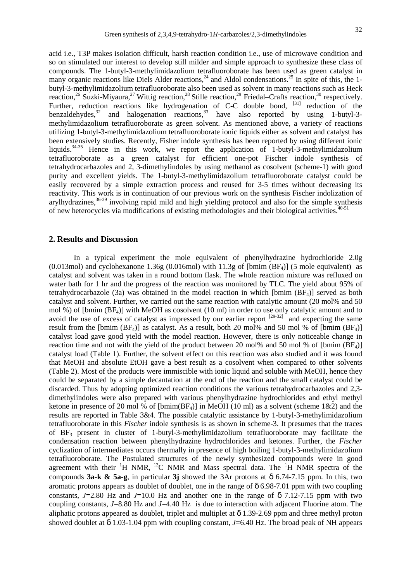acid i.e., T3P makes isolation difficult, harsh reaction condition i.e., use of microwave condition and so on stimulated our interest to develop still milder and simple approach to synthesize these class of compounds. The 1-butyl-3-methylimidazolium tetrafluoroborate has been used as green catalyst in many organic reactions like Diels Alder reactions,  $24$  and Aldol condensations.  $25$  In spite of this, the 1butyl-3-methylimidazolium tetrafluoroborate also been used as solvent in many reactions such as Heck reaction,<sup>26</sup> Suzki-Miyaura,<sup>27</sup> Wittig reaction,<sup>28</sup> Stille reaction,<sup>29</sup> Friedal–Crafts reaction,<sup>30</sup> respectively. Further, reduction reactions like hydrogenation of C-C double bond,  $^{[31]}$  reduction of the benzaldehydes,<sup>32</sup> and halogenation reactions,<sup>33</sup> have also reported by using 1-butyl-3methylimidazolium tetrafluoroborate as green solvent. As mentioned above, a variety of reactions utilizing 1-butyl-3-methylimidazolium tetrafluoroborate ionic liquids either as solvent and catalyst has been extensively studies. Recently, Fisher indole synthesis has been reported by using different ionic liquids.<sup>34-35</sup> Hence in this work, we report the application of 1-butyl-3-methylimidazolium tetrafluoroborate as a green catalyst for efficient one-pot Fischer indole synthesis of tetrahydrocarbazoles and 2, 3-dimethylindoles by using methanol as cosolvent (scheme-1) with good purity and excellent yields. The 1-butyl-3-methylimidazolium tetrafluoroborate catalyst could be easily recovered by a simple extraction process and reused for 3-5 times without decreasing its reactivity. This work is in continuation of our previous work on the synthesis Fischer indolization of arylhydrazines,36-39 involving rapid mild and high yielding protocol and also for the simple synthesis of new heterocycles via modifications of existing methodologies and their biological activities.40-51

## **2. Results and Discussion**

In a typical experiment the mole equivalent of phenylhydrazine hydrochloride 2.0g  $(0.013 \text{mol})$  and cyclohexanone 1.36g  $(0.016 \text{mol})$  with 11.3g of [bmim (BF<sub>4</sub>)] (5 mole equivalent) as catalyst and solvent was taken in a round bottom flask. The whole reaction mixture was refluxed on water bath for 1 hr and the progress of the reaction was monitored by TLC. The yield about 95% of tetrahydrocarbazole (3a) was obtained in the model reaction in which [bmim  $(BF<sub>4</sub>)$ ] served as both catalyst and solvent. Further, we carried out the same reaction with catalytic amount (20 mol% and 50 mol %) of  $[\text{bmin (BF<sub>4</sub>)}]$  with MeOH as cosolvent (10 ml) in order to use only catalytic amount and to avoid the use of excess of catalyst as impressed by our earlier report  $[29-32]$  and expecting the same result from the [bmim ( $BF_4$ )] as catalyst. As a result, both 20 mol% and 50 mol % of [bmim ( $BF_4$ )] catalyst load gave good yield with the model reaction. However, there is only noticeable change in reaction time and not with the yield of the product between 20 mol% and 50 mol % of [bmim ( $BE_4$ )] catalyst load (Table 1). Further, the solvent effect on this reaction was also studied and it was found that MeOH and absolute EtOH gave a best result as a cosolvent when compared to other solvents (Table 2). Most of the products were immiscible with ionic liquid and soluble with MeOH, hence they could be separated by a simple decantation at the end of the reaction and the small catalyst could be discarded. Thus by adopting optimized reaction conditions the various tetrahydrocarbazoles and 2,3 dimethylindoles were also prepared with various phenylhydrazine hydrochlorides and ethyl methyl ketone in presence of 20 mol % of  $[bmim(BF_4)]$  in MeOH (10 ml) as a solvent (scheme 1&2) and the results are reported in Table 3&4. The possible catalytic assistance by 1-butyl-3-methylimidazolium tetrafluoroborate in this *Fischer* indole synthesis is as shown in scheme-3. It presumes that the traces of  $BF_3$  present in cluster of 1-butyl-3-methylimidazolium tetrafluoroborate may facilitate the condensation reaction between phenylhydrazine hydrochlorides and ketones. Further, the *Fischer*  cyclization of intermediates occurs thermally in presence of high boiling 1-butyl-3-methylimidazolium tetrafluoroborate. The Postulated structures of the newly synthesized compounds were in good agreement with their  ${}^{1}H$  NMR,  ${}^{13}C$  NMR and Mass spectral data. The  ${}^{1}H$  NMR spectra of the compounds **3a-k & 5a-g**, in particular **3j** showed the 3Ar protons at δ 6.74-7.15 ppm. In this, two aromatic protons appears as doublet of doublet, one in the range of  $\delta$  6.98-7.01 ppm with two coupling constants,  $J=2.80$  Hz and  $J=10.0$  Hz and another one in the range of  $\delta$  7.12-7.15 ppm with two coupling constants, *J*=8.80 Hz and *J*=4.40 Hz is due to interaction with adjacent Fluorine atom. The aliphatic protons appeared as doublet, triplet and multiplet at  $\delta$  1.39-2.69 ppm and three methyl proton showed doublet at  $\delta$  1.03-1.04 ppm with coupling constant, *J*=6.40 Hz. The broad peak of NH appears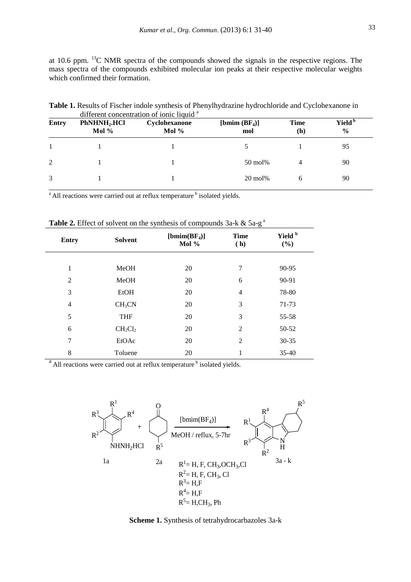at 10.6 ppm. <sup>13</sup>C NMR spectra of the compounds showed the signals in the respective regions. The mass spectra of the compounds exhibited molecular ion peaks at their respective molecular weights which confirmed their formation.

| <b>Entry</b> | $PhNHNH2$ .HCl<br>Mol % | Cyclohexanone<br>Mol $%$ | [bmim $(BF_4)$ ]<br>mol | <b>Time</b><br>(h) | Yield <sup>b</sup><br>$\frac{0}{0}$ |
|--------------|-------------------------|--------------------------|-------------------------|--------------------|-------------------------------------|
|              |                         |                          |                         |                    | 95                                  |
| 2            |                         |                          | $50 \text{ mol}$ %      | 4                  | 90                                  |
| 3            |                         |                          | $20 \text{ mol}$ %      | 6                  | 90                                  |

**Table 1.** Results of Fischer indole synthesis of Phenylhydrazine hydrochloride and Cyclohexanone in different concentration of ionic liquid<sup>a</sup>

<sup>a</sup> All reactions were carried out at reflux temperature <sup>b</sup> isolated yields.

| <b>Entry</b>   | <b>Solvent</b>     | $[bmin(BF_4)]$<br>Mol % | $\circ$<br><b>Time</b><br>(h) | Yield <b>b</b><br>(%) |  |
|----------------|--------------------|-------------------------|-------------------------------|-----------------------|--|
|                |                    |                         |                               |                       |  |
| 1              | MeOH               | 20                      | $\overline{7}$                | 90-95                 |  |
| $\overline{2}$ | MeOH               | 20                      | 6                             | 90-91                 |  |
| 3              | <b>EtOH</b>        | 20                      | $\overline{4}$                | 78-80                 |  |
| $\overline{4}$ | CH <sub>3</sub> CN | 20                      | 3                             | 71-73                 |  |
| 5              | <b>THF</b>         | 20                      | 3                             | 55-58                 |  |
| 6              | $CH_2Cl_2$         | 20                      | $\overline{2}$                | 50-52                 |  |
| 7              | EtOAc              | 20                      | $\overline{2}$                | 30-35                 |  |
| 8              | Toluene            | 20                      | 1                             | $35 - 40$             |  |

**Table 2.** Effect of solvent on the synthesis of compounds 3a-k & 5a-g<sup>a</sup>

<sup>a</sup> All reactions were carried out at reflux temperature<sup>b</sup> isolated yields.



**Scheme 1.** Synthesis of tetrahydrocarbazoles 3a-k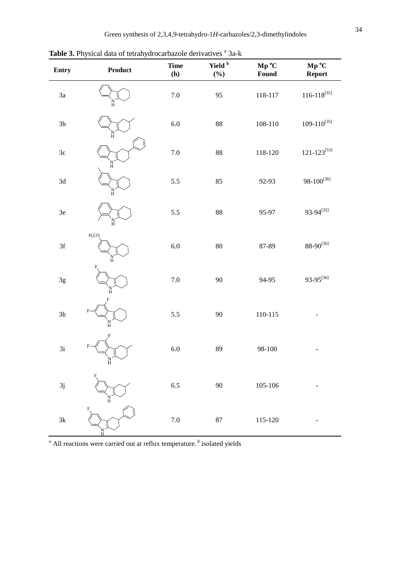| Entry         | $\boldsymbol{\mathrm{Product}}% \setlength{\boldsymbol{\mathcal{C}}}% \newcommand{\cN}{\mathbb{C}} \vspace{-1.5cm}$ | <b>Time</b><br>(h) | Yield <b>b</b><br>$(\frac{6}{6})$ | $\mathbf{Mp}\ ^\mathrm{o}\mathbf{C}$<br>Found | $\mathbf{Mp}$ °C<br><b>Report</b> |
|---------------|---------------------------------------------------------------------------------------------------------------------|--------------------|-----------------------------------|-----------------------------------------------|-----------------------------------|
| $3\mathrm{a}$ | Ħ                                                                                                                   | $7.0\,$            | 95                                | 118-117                                       | $116 - 118^{[35]}$                |
| $3\mathrm{b}$ | N<br>H                                                                                                              | $6.0\,$            | $88\,$                            | 108-110                                       | $109\hbox{-}110^{[35]}$           |
| 3c            | $\frac{N}{H}$                                                                                                       | $7.0\,$            | $88\,$                            | 118-120                                       | $121\hbox{-}123^{[53]}$           |
| $3\mathrm{d}$ | N<br>H                                                                                                              | 5.5                | 85                                | 92-93                                         | $98\text{-}100^{[36]}$            |
| $3\mathrm{e}$ | Ħ                                                                                                                   | $5.5\,$            | $88\,$                            | 95-97                                         | $93-94^{[35]}$                    |
| 3f            | $H_3CO$<br>N<br>H                                                                                                   | $6.0\,$            | $80\,$                            | 87-89                                         | $88\text{-}90^{\left[36\right]}$  |
| 3g            | E<br>H                                                                                                              | $7.0\,$            | $90\,$                            | 94-95                                         | $93-95^{[36]}$                    |
| 3h            | F<br>F<br>$_{\rm H}^{\rm N}$                                                                                        | 5.5                | $90\,$                            | 110-115                                       |                                   |
| 3i            | F<br>N<br>H                                                                                                         | $6.0\,$            | 89                                | 98-100                                        |                                   |
| 3j            | ĥ                                                                                                                   | 6.5                | $90\,$                            | $105 - 106$                                   |                                   |
| $3{\bf k}$    |                                                                                                                     | $7.0\,$            | $87\,$                            | $115 - 120$                                   |                                   |

Table 3. Physical data of tetrahydrocarbazole derivatives <sup>a</sup> 3a-k

<sup>*a*</sup> All reactions were carried out at reflux temperature.<sup>*b*</sup> isolated yields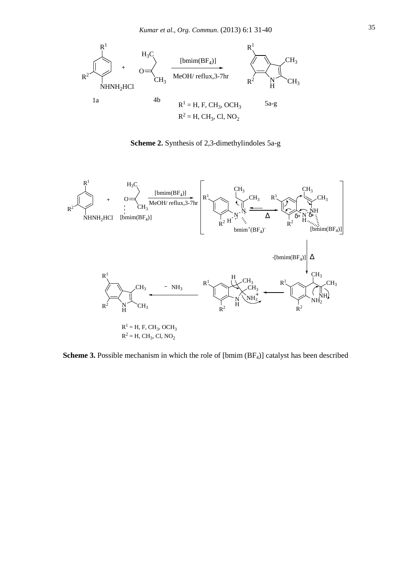

**Scheme 2.** Synthesis of 2,3-dimethylindoles 5a-g



**Scheme 3.** Possible mechanism in which the role of [bmim (BF<sub>4</sub>)] catalyst has been described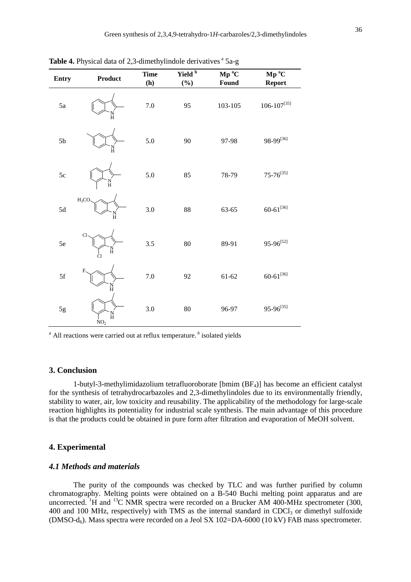| <b>Entry</b>   | Product                               | <b>Time</b><br>(h) | Yield $\overline{b}$<br>$(\%)$ | Mp °C<br>Found | Mp °C<br><b>Report</b> |
|----------------|---------------------------------------|--------------------|--------------------------------|----------------|------------------------|
| $5\mathrm{a}$  | $_{\rm H}^{\rm N}$                    | $7.0\,$            | 95                             | 103-105        | $106 - 107^{[35]}$     |
| 5 <sub>b</sub> | $_{\rm H}^{\rm N}$                    | 5.0                | 90                             | 97-98          | $98-99^{[36]}$         |
| 5c             | 'N<br>H                               | 5.0                | 85                             | 78-79          | $75 - 76^{[35]}$       |
| $5d$           | $H_3CO$<br>$_{\rm H}^{\rm N}$         | 3.0                | 88                             | 63-65          | $60\mbox{-}61^{[36]}$  |
| 5e             | Cl<br>$\rm \dot{H}$<br>Ċl             | $3.5\,$            | 80                             | 89-91          | $95-96^{[52]}$         |
| 5f             | F.<br>$\frac{\text{N}}{\text{H}}$     | $7.0\,$            | 92                             | $61 - 62$      | $60\mbox{-}61^{[36]}$  |
| $5g$           | $_{\rm H}^{\rm N}$<br>NO <sub>2</sub> | $3.0\,$            | 80                             | 96-97          | $95-96^{[35]}$         |

**Table 4.** Physical data of 2,3-dimethylindole derivatives<sup>a</sup> 5a-g

<sup>*a*</sup> All reactions were carried out at reflux temperature.<sup>*b*</sup> isolated yields

#### **3. Conclusion**

1-butyl-3-methylimidazolium tetrafluoroborate [bmim (BF4)] has become an efficient catalyst for the synthesis of tetrahydrocarbazoles and 2,3-dimethylindoles due to its environmentally friendly, stability to water, air, low toxicity and reusability. The applicability of the methodology for large-scale reaction highlights its potentiality for industrial scale synthesis. The main advantage of this procedure is that the products could be obtained in pure form after filtration and evaporation of MeOH solvent.

### **4. Experimental**

## *4.1 Methods and materials*

 The purity of the compounds was checked by TLC and was further purified by column chromatography. Melting points were obtained on a B-540 Buchi melting point apparatus and are uncorrected. <sup>1</sup>H and <sup>13</sup>C NMR spectra were recorded on a Brucker AM 400-MHz spectrometer (300, 400 and 100 MHz, respectively) with TMS as the internal standard in CDCl<sub>3</sub> or dimethyl sulfoxide  $(DMSO-d<sub>6</sub>)$ . Mass spectra were recorded on a Jeol SX 102=DA-6000 (10 kV) FAB mass spectrometer.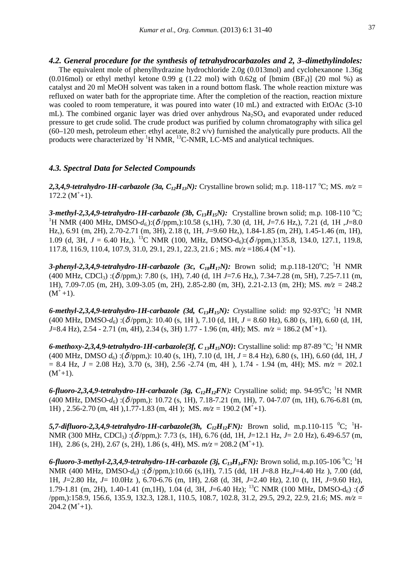*4.2. General procedure for the synthesis of tetrahydrocarbazoles and 2, 3–dimethylindoles:* The equivalent mole of phenylhydrazine hydrochloride 2.0g (0.013mol) and cyclohexanone 1.36g (0.016mol) or ethyl methyl ketone 0.99 g (1.22 mol) with 0.62g of [bmim  $(BF<sub>4</sub>)]$  (20 mol %) as catalyst and 20 ml MeOH solvent was taken in a round bottom flask. The whole reaction mixture was refluxed on water bath for the appropriate time. After the completion of the reaction, reaction mixture was cooled to room temperature, it was poured into water (10 mL) and extracted with EtOAc (3-10 mL). The combined organic layer was dried over anhydrous  $Na_2SO_4$  and evaporated under reduced pressure to get crude solid. The crude product was purified by column chromatography with silica gel (60–120 mesh, petroleum ether: ethyl acetate, 8:2 v/v) furnished the analytically pure products. All the products were characterized by  ${}^{1}$ H NMR,  ${}^{13}$ C-NMR, LC-MS and analytical techniques.

## *4.3. Spectral Data for Selected Compounds*

2,3,4,9-tetrahydro-1H-carbazole (3a,  $C_{12}H_{13}N$ ): Crystalline brown solid; m.p. 118-117 °C; MS.  $m/z =$  $172.2 \ (M^+ + 1).$ 

*3-methyl-2,3,4,9-tetrahydro-1H-carbazole (3b,*  $C_{13}H_{15}N$ ): Crystalline brown solid; m.p. 108-110 °C; <sup>1</sup>H NMR (400 MHz, DMSO-*d6,*):(δ /ppm,):10.58 (s,1H), 7.30 (d, 1H, *J*=7.6 Hz,), 7.21 (d, 1H *,J*=8.0 Hz,), 6.91 (m, 2H), 2.70-2.71 (m, 3H), 2.18 (t, 1H, *J*=9.60 Hz,), 1.84-1.85 (m, 2H), 1.45-1.46 (m, 1H), 1.09 (d, 3H,  $J = 6.40$  Hz,). <sup>13</sup>C NMR (100, MHz, DMSO-d<sub>6</sub>):( $\delta$ /ppm,):135.8, 134.0, 127.1, 119.8, 117.8, 116.9, 110.4, 107.9, 31.0, 29.1, 29.1, 22.3, 21.6; MS.  $m/z = 186.4$  (M<sup>+</sup>+1).

 $3$ -phenyl-2,3,4,9-tetrahydro-1H-carbazole (3c,  $C_{18}H_{17}N$ ): Brown solid; m.p.118-120<sup>o</sup>C; <sup>1</sup>H NMR (400 MHz, CDCl3) :(δ /ppm,): 7.80 (s, 1H), 7.40 (d, 1H *J*=7.6 Hz,), 7.34-7.28 (m, 5H), 7.25-7.11 (m, 1H), 7.09-7.05 (m, 2H), 3.09-3.05 (m, 2H), 2.85-2.80 (m, 3H), 2.21-2.13 (m, 2H); MS. *m/z =* 248.2  $(M^+ + 1)$ .

6-methyl-2,3,4,9-tetrahydro-1H-carbazole (3d,  $C_{13}H_{15}N$ ): Crystalline solid: mp 92-93<sup>o</sup>C; <sup>1</sup>H NMR  $(400 \text{ MHz}, \text{ DMSO-}d_6)$ : $(\delta/\text{ppm})$ : 10.40 (s, 1H), 7.10 (d, 1H,  $J = 8.60 \text{ Hz}$ ), 6.80 (s, 1H), 6.60 (d, 1H, *J*=8.4 Hz), 2.54 - 2.71 (m, 4H), 2.34 (s, 3H) 1.77 - 1.96 (m, 4H); MS.  $m/z = 186.2$  (M<sup>+</sup>+1).

6-methoxy-2,3,4,9-tetrahydro-1H-carbazole(3f, C<sub>13</sub>H<sub>15</sub>NO): Crystalline solid: mp 87-89 °C; <sup>1</sup>H NMR  $(400 \text{ MHz}, \text{ DMSO } d_6)$ : $(\delta/\text{ppm})$ : 10.40 (s, 1H), 7.10 (d, 1H,  $J = 8.4$  Hz), 6.80 (s, 1H), 6.60 (dd, 1H, *J* = 8.4 Hz, *J* = 2.08 Hz), 3.70 (s, 3H), 2.56 -2.74 (m, 4H ), 1.74 - 1.94 (m, 4H); MS. *m/z =* 202.1  $(M^+ + 1)$ .

6-fluoro-2,3,4,9-tetrahydro-1H-carbazole<sup>*(*3g, C<sub>12</sub>H<sub>12</sub>FN): Crystalline solid; mp. 94-95<sup>°</sup>C; <sup>1</sup>H NMR</sup> (400 MHz, DMSO-*d6*) :(δ /ppm,): 10.72 (s, 1H), 7.18-7.21 (m, 1H), 7. 04-7.07 (m, 1H), 6.76-6.81 (m, 1H),  $2.56-2.70$  (m, 4H),  $1.77-1.83$  (m, 4H); MS.  $m/z = 190.2$  (M<sup>+</sup>+1).

5,7-difluoro-2,3,4,9-tetrahydro-1H-carbazole(3h,  $C_1$ H<sub>12</sub>*FN*): Brown solid, m.p.110-115 <sup>o</sup>C; <sup>1</sup>H-NMR (300 MHz, CDCl3) :(δ /ppm,): 7.73 (s, 1H), 6.76 (dd, 1H, *J*=12.1 Hz, *J*= 2.0 Hz), 6.49-6.57 (m, 1H), 2.86 (s, 2H), 2.67 (s, 2H), 1.86 (s, 4H), MS.  $m/z = 208.2 \ (M^+ + 1)$ .

6-fluoro-3-methyl-2,3,4,9-tetrahydro-1H-carbazole (3j,  $C_{13}H_{14}F$ N): Brown solid, m.p.105-106 <sup>o</sup>C; <sup>1</sup>H NMR (400 MHz, DMSO-*d6*) :(δ /ppm,):10.66 (s,1H), 7.15 (dd, 1H *J*=8.8 Hz,*J*=4.40 Hz ), 7.00 (dd, 1H, *J*=2.80 Hz, *J*= 10.0Hz ), 6.70-6.76 (m, 1H), 2.68 (d, 3H, *J*=2.40 Hz), 2.10 (t, 1H, *J*=9.60 Hz), 1.79-1.81 (m, 2H), 1.40-1.41 (m,1H), 1.04 (d, 3H, J=6.40 Hz); <sup>13</sup>C NMR (100 MHz, DMSO-d<sub>6</sub>) :( $\delta$ /ppm,):158.9, 156.6, 135.9, 132.3, 128.1, 110.5, 108.7, 102.8, 31.2, 29.5, 29.2, 22.9, 21.6; MS. *m/z* =  $204.2 \ (M^+ + 1).$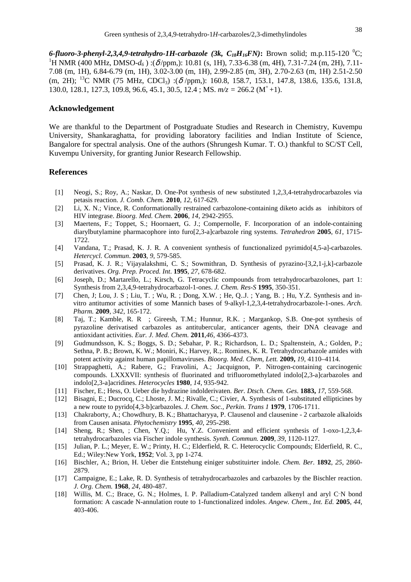6-fluoro-3-phenyl-2,3,4,9-tetrahydro-1H-carbazole (3k,  $C_{18}H_{16}FN$ ): Brown solid; m.p.115-120 <sup>0</sup>C; <sup>1</sup>H NMR (400 MHz, DMSO- $d_6$ ) :( $\delta$ /ppm,): 10.81 (s, 1H), 7.33-6.38 (m, 4H), 7.31-7.24 (m, 2H), 7.11-7.08 (m, 1H), 6.84-6.79 (m, 1H), 3.02-3.00 (m, 1H), 2.99-2.85 (m, 3H), 2.70-2.63 (m, 1H) 2.51-2.50 (m, 2H); <sup>13</sup>C NMR (75 MHz, CDCl<sub>3</sub>) :( $\delta$ /ppm,): 160.8, 158.7, 153.1, 147.8, 138.6, 135.6, 131.8, 130.0, 128.1, 127.3, 109.8, 96.6, 45.1, 30.5, 12.4 ; MS,  $m/z = 266.2 \ (M^+ + 1)$ .

#### **Acknowledgement**

We are thankful to the Department of Postgraduate Studies and Research in Chemistry, Kuvempu University, Shankaraghatta, for providing laboratory facilities and Indian Institute of Science, Bangalore for spectral analysis. One of the authors (Shrungesh Kumar. T. O.) thankful to SC/ST Cell, Kuvempu University, for granting Junior Research Fellowship.

#### **References**

- [1] Neogi, S.; Roy, A.; Naskar, D. One-Pot synthesis of new substituted 1,2,3,4-tetrahydrocarbazoles via petasis reaction. *J. Comb. Chem.* **2010**, *12*, 617-629.
- [2] Li, X. N.; Vince, R. Conformationally restrained carbazolone-containing diketo acids as inhibitors of HIV integrase. *Bioorg. Med. Chem*. **2006**, *14*, 2942-2955.
- [3] Maertens, F.; Toppet, S.; Hoornaert, G. J.; Compernolle, F. Incorporation of an indole-containing diarylbutylamine pharmacophore into furo[2,3-a]carbazole ring systems. *Tetrahedron* **2005**, *61*, 1715- 1722.
- [4] Vandana, T.; Prasad, K. J. R. A convenient synthesis of functionalized pyrimido[4,5-a]-carbazoles. *Hetercycl. Commun*. **2003**, *9*, 579-585.
- [5] Prasad, K. J. R.; Vijayalakshmi, C. S.; Sowmithran, D. Synthesis of pyrazino-[3,2,1-j,k]-carbazole derivatives. *Org. Prep. Proced. Int*. **1995**, *27*, 678-682.
- [6] Joseph, D.; Martarello, L.; Kirsch, G. Tetracyclic compounds from tetrahydrocarbazolones, part 1: Synthesis from 2,3,4,9-tetrahydrocarbazol-1-ones. *J. Chem. Res-S* **1995**, 350-351.
- [7] Chen, J; Lou, J. S ; Liu, T. ; Wu, R. ; Dong, X.W. ; He, Q..J. ; Yang, B. ; Hu, Y.Z. Synthesis and invitro antitumor activities of some Mannich bases of 9-alkyl-1,2,3,4-tetrahydrocarbazole-1-ones. *Arch. Pharm.* **2009**, *342*, 165-172.
- [8] Taj, T.; Kamble, R. R ; Gireesh, T.M.; Hunnur, R.K. ; Margankop, S.B. One-pot synthesis of pyrazoline derivatised carbazoles as antitubercular, anticancer agents, their DNA cleavage and antioxidant activities. *Eur. J. Med. Chem.* **2011**,*46,* 4366-4373.
- [9] Gudmundsson, K. S.; Boggs, S. D.; Sebahar, P. R.; Richardson, L. D.; Spaltenstein, A.; Golden, P.; Sethna, P. B.; Brown, K. W.; Moniri, K.; Harvey, R.;. Romines, K. R. Tetrahydrocarbazole amides with potent activity against human papillomaviruses. *Bioorg. Med. Chem*, *Lett.* **2009,** *19*, 4110–4114.
- [10] Strappaghetti, A.; Rabere, G.; Fravolini, A.; Jacquignon, P. Nitrogen-containing carcinogenic compounds. LXXXVII: synthesis of fluorinated and trifluoromethylated indolo[2,3-a]carbazoles and indolo[2,3-a]acridines. *Heterocycles* **1980**, *14*, 935-942.
- [11] Fischer, E.; Hess, O. Ueber die hydrazine indolderivaten. *Ber. Dtsch. Chem. Ges*. **1883,** *17*, 559-568.
- [12] Bisagni, E.; Ducrocq, C.; Lhoste, J. M.; Rivalle, C.; Civier, A. Synthesis of 1-substituted ellipticines by a new route to pyrido[4,3-b]carbazoles. *J. Chem. Soc., Perkin. Trans 1* **1979**, 1706-1711.
- [13] Chakraborty, A.; Chowdhury, B. K.; Bhattacharyya, P. Clausenol and clausenine 2 carbazole alkaloids from Causen anisata. *Phytochemistry* **1995**, *40*, 295-298.
- [14] Sheng, R.; Shen, ; Chen, Y.Q.; Hu, Y.Z. Convenient and efficient synthesis of 1-oxo-1,2,3,4 tetrahydrocarbazoles via Fischer indole synthesis. *Synth. Commun.* **2009**, *39*, 1120-1127.
- [15] Julian, P. L.; Meyer, E. W.; Printy, H. C.; Elderfield, R*.* C. Heterocyclic Compounds; Elderfield, R. C., Ed.; Wiley:New York, **1952**; Vol. 3, pp 1-274.
- [16] Bischler, A.; Brion, H. Ueber die Entstehung einiger substituirter indole. *Chem. Ber*. **1892**, *25*, 2860- 2879.
- [17] Campaigne, E.; Lake, R. D. Synthesis of tetrahydrocarbazoles and carbazoles by the Bischler reaction. *J. Org. Chem.* **1968**, *24*, 480-487.
- [18] Willis, M. C.; Brace, G. N.; Holmes, I. P. Palladium-Catalyzed tandem alkenyl and aryl C\_N bond formation: A cascade N-annulation route to 1-functionalized indoles. *Angew. Chem., Int. Ed.* **2005**, *44*, 403-406.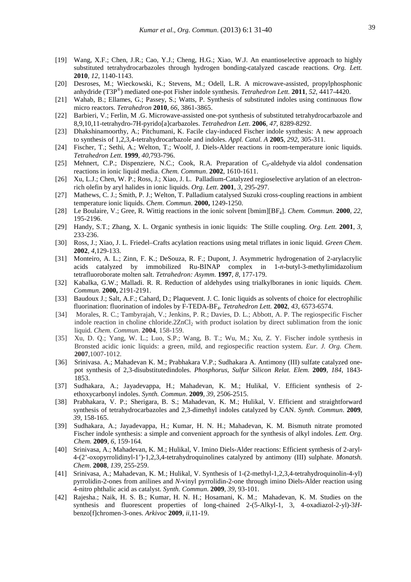- [19] Wang, X.F.; Chen, J.R.; Cao, Y.J.; Cheng, H.G.; Xiao, W.J. An enantioselective approach to highly substituted tetrahydrocarbazoles through hydrogen bonding-catalyzed cascade reactions. *Org. Lett.*  **2010**, *12*, 1140-1143.
- [20] Desroses, M.; Wieckowski, K.; Stevens, M.; Odell, L.R. A microwave-assisted, propylphosphonic anhydride (T3P® ) mediated one-pot Fisher indole synthesis. *Tetrahedron Lett.* **2011**, *52*, 4417-4420.
- [21] Wahab, B.; Ellames, G.; Passey, S.; Watts, P. Synthesis of substituted indoles using continuous flow micro reactors. *Tetrahedron* **2010**, *66*, 3861-3865.
- [22] Barbieri, V.; Ferlin, M .G. Microwave-assisted one-pot synthesis of substituted tetrahydrocarbazole and 8,9,10,11-tetrahydro-7H-pyrido[a]carbazoles. *Tetrahedron Lett*. **2006**, *47*, 8289-8292.
- [23] Dhakshinamoorthy, A.; Pitchumani, K. Facile clay-induced Fischer indole synthesis: A new approach to synthesis of 1,2,3,4-tetrahydrocarbazole and indoles. *Appl. Catal. A* **2005**, *292*, 305-311.
- [24] Fischer, T.; Sethi, A.; Welton, T.; Woolf, J. Diels-Alder reactions in room-temperature ionic liquids. *Tetrahedron Lett*. **1999**, *40,*793-796.
- [25] Mehnert, C.P.; Dispenziere, N.C.; Cook, R.A. Preparation of C<sub>9</sub>-aldehyde via aldol condensation reactions in ionic liquid media. *Chem. Commun*. **2002**, 1610-1611.
- [26] Xu, L.J.; Chen, W. P.; Ross, J.; Xiao, J. L. Palladium-Catalyzed regioselective arylation of an electronrich olefin by aryl halides in ionic liquids. *Org. Lett*. **2001**, *3*, 295-297.
- [27] Mathews, C. J.; Smith, P. J.; Welton, T. Palladium catalysed Suzuki cross-coupling reactions in ambient temperature ionic liquids. *Chem. Commun*. **2000,** 1249-1250.
- [28] Le Boulaire, V.; Gree, R. Wittig reactions in the ionic solvent [bmim][BF4]. *Chem. Commun*. **2000**, *22*, 195-2196.
- [29] Handy, S.T.; Zhang, X. L. Organic synthesis in ionic liquids: The Stille coupling. *Org. Lett.* **2001**, *3*, 233-236.
- [30] Ross, J.; Xiao, J. L. Friedel–Crafts acylation reactions using metal triflates in ionic liquid. *Green Chem*. **2002**, *4*,129-133.
- [31] Monteiro, A. L.; Zinn, F. K.; DeSouza, R. F.; Dupont, J. Asymmetric hydrogenation of 2-arylacrylic acids catalyzed by immobilized Ru-BINAP complex in 1-*n*-butyl-3-methylimidazolium tetrafluoroborate molten salt. *Tetrahedron: Asymm.* **1997**, *8*, 177-179.
- [32] Kabalka, G.W.; Malladi. R. R. Reduction of aldehydes using trialkylboranes in ionic liquids*. Chem. Commun.* **2000,** 2191-2191.
- [33] Baudoux J.; Salt, A.F.; Cahard, D.; Plaquevent. J. C. Ionic liquids as solvents of choice for electrophilic fluorination: fluorination of indoles by F-TEDA-BF4. *Tetrahedron Lett.* **2002**, *43*, 6573-6574.
- [34] Morales, R. C.; Tambyrajah, V.; Jenkins, P. R.; Davies, D. L.; Abbott, A. P. The regiospecific Fischer indole reaction in choline chloride. $2ZnCl<sub>2</sub>$  with product isolation by direct sublimation from the ionic liquid. *Chem. Commun*. **2004**, 158-159.
- [35] Xu, D. Q.; Yang, W. L.; Luo, S.P.; Wang, B. T.; Wu, M.; Xu, Z. Y. Fischer indole synthesis in Bronsted acidic ionic liquids: a green, mild, and regiospecific reaction system. *Eur. J. Org. Chem.*  **2007**,1007-1012.
- [36] Srinivasa. A.; Mahadevan K. M.; Prabhakara V.P.; Sudhakara A. Antimony (III) sulfate catalyzed onepot synthesis of 2,3-disubstitutedindoles. *Phosphorus, Sulfur Silicon Relat. Elem.* **2009**, *184*, 1843- 1853.
- [37] Sudhakara, A.; Jayadevappa, H.; Mahadevan, K. M.; Hulikal, V. Efficient synthesis of 2 ethoxycarbonyl indoles. *Synth. Commun*. **2009**, *39*, 2506-2515.
- [38] Prabhakara, V. P.; Sherigara, B. S.; Mahadevan, K. M.; Hulikal, V. Efficient and straightforward synthesis of tetrahydrocarbazoles and 2,3-dimethyl indoles catalyzed by CAN. *Synth. Commun*. **2009**, *39*, 158-165.
- [39] Sudhakara, A.; Jayadevappa, H.; Kumar, H. N. H.; Mahadevan, K. M. Bismuth nitrate promoted Fischer indole synthesis: a simple and convenient approach for the synthesis of alkyl indoles. *Lett. Org. Chem.* **2009**, *6,* 159-164*.*
- [40] Srinivasa, A.; Mahadevan, K. M.; Hulikal, V. Imino Diels-Alder reactions: Efficient synthesis of 2-aryl-4-(2'-oxopyrrolidinyl-1')-1,2,3,4-tetrahydroquinolines catalyzed by antimony (III) sulphate. *Monatsh. Chem*. **2008**, *139*, 255-259.
- [41] Srinivasa, A.; Mahadevan, K. M.; Hulikal, V. Synthesis of 1-(2-methyl-1,2,3,4-tetrahydroquinolin-4-yl) pyrrolidin-2-ones from anilines and *N*-vinyl pyrrolidin-2-one through imino Diels-Alder reaction using 4-nitro phthalic acid as catalyst. *Synth. Commun*. **2009**, *39*, 93-101.
- [42] Rajesha.; Naik, H. S. B.; Kumar, H. N. H.; Hosamani, K. M.; Mahadevan, K. M. Studies on the synthesis and fluorescent properties of long-chained 2-(5-Alkyl-1, 3, 4-oxadiazol-2-yl)-3*H*benzo[f]chromen-3-ones. *Arkivoc* **2009**, *ii*,11-19.